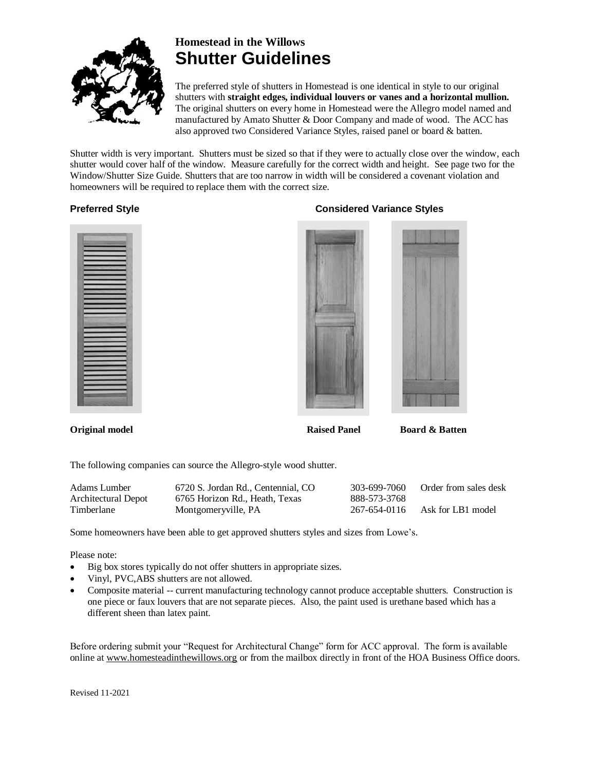

# **Homestead in the Willows Shutter Guidelines**

The preferred style of shutters in Homestead is one identical in style to our original shutters with **straight edges, individual louvers or vanes and a horizontal mullion.** The original shutters on every home in Homestead were the Allegro model named and manufactured by Amato Shutter & Door Company and made of wood. The ACC has also approved two Considered Variance Styles, raised panel or board & batten.

Shutter width is very important. Shutters must be sized so that if they were to actually close over the window, each shutter would cover half of the window. Measure carefully for the correct width and height. See page two for the Window/Shutter Size Guide. Shutters that are too narrow in width will be considered a covenant violation and homeowners will be required to replace them with the correct size.



## **Preferred Style Considered Variance Styles**





**Original model Raised Panel Board & Batten**

The following companies can source the Allegro-style wood shutter.

| Adams Lumber        | 6720 S. Jordan Rd., Centennial, CO | 303-699-7060 | Order from sales desk |
|---------------------|------------------------------------|--------------|-----------------------|
| Architectural Depot | 6765 Horizon Rd., Heath, Texas     | 888-573-3768 |                       |
| Timberlane          | Montgomeryville, PA                | 267-654-0116 | Ask for LB1 model     |

Some homeowners have been able to get approved shutters styles and sizes from Lowe's.

Please note:

- Big box stores typically do not offer shutters in appropriate sizes.
- Vinyl, PVC,ABS shutters are not allowed.
- Composite material -- current manufacturing technology cannot produce acceptable shutters. Construction is one piece or faux louvers that are not separate pieces. Also, the paint used is urethane based which has a different sheen than latex paint.

Before ordering submit your "Request for Architectural Change" form for ACC approval. The form is available online at [www.homesteadinthewillows.org](http://www.homesteadinthewillows.org/) or from the mailbox directly in front of the HOA Business Office doors.